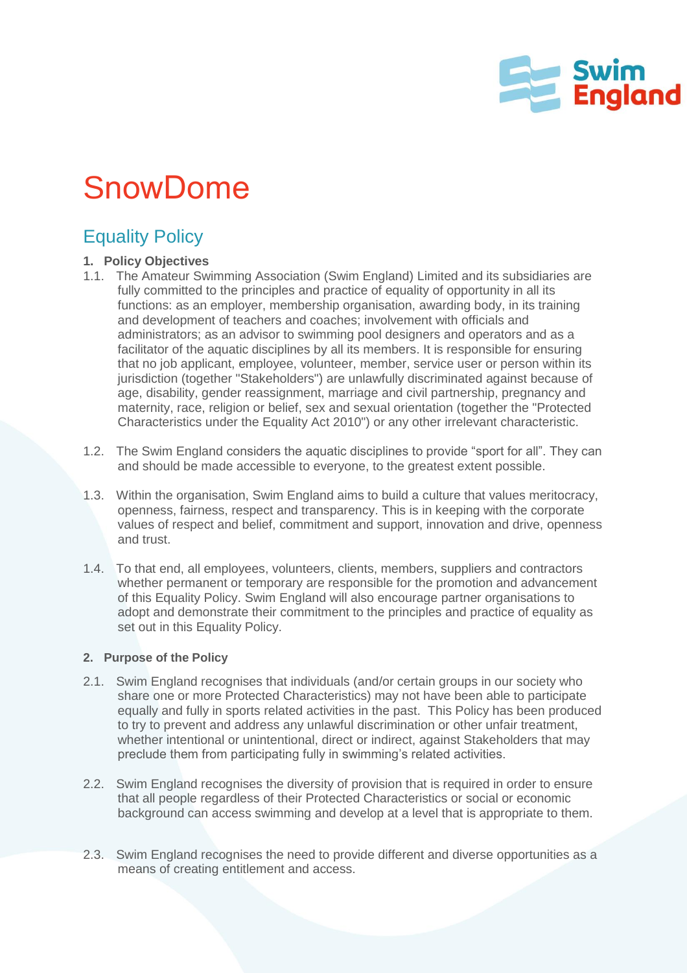

# **SnowDome**

## Equality Policy

#### **1. Policy Objectives**

- 1.1. The Amateur Swimming Association (Swim England) Limited and its subsidiaries are fully committed to the principles and practice of equality of opportunity in all its functions: as an employer, membership organisation, awarding body, in its training and development of teachers and coaches; involvement with officials and administrators; as an advisor to swimming pool designers and operators and as a facilitator of the aquatic disciplines by all its members. It is responsible for ensuring that no job applicant, employee, volunteer, member, service user or person within its jurisdiction (together "Stakeholders") are unlawfully discriminated against because of age, disability, gender reassignment, marriage and civil partnership, pregnancy and maternity, race, religion or belief, sex and sexual orientation (together the "Protected Characteristics under the Equality Act 2010") or any other irrelevant characteristic.
- 1.2. The Swim England considers the aquatic disciplines to provide "sport for all". They can and should be made accessible to everyone, to the greatest extent possible.
- 1.3. Within the organisation, Swim England aims to build a culture that values meritocracy, openness, fairness, respect and transparency. This is in keeping with the corporate values of respect and belief, commitment and support, innovation and drive, openness and trust.
- 1.4. To that end, all employees, volunteers, clients, members, suppliers and contractors whether permanent or temporary are responsible for the promotion and advancement of this Equality Policy. Swim England will also encourage partner organisations to adopt and demonstrate their commitment to the principles and practice of equality as set out in this Equality Policy.

#### **2. Purpose of the Policy**

- 2.1. Swim England recognises that individuals (and/or certain groups in our society who share one or more Protected Characteristics) may not have been able to participate equally and fully in sports related activities in the past. This Policy has been produced to try to prevent and address any unlawful discrimination or other unfair treatment, whether intentional or unintentional, direct or indirect, against Stakeholders that may preclude them from participating fully in swimming's related activities.
- 2.2. Swim England recognises the diversity of provision that is required in order to ensure that all people regardless of their Protected Characteristics or social or economic background can access swimming and develop at a level that is appropriate to them.
- 2.3. Swim England recognises the need to provide different and diverse opportunities as a means of creating entitlement and access.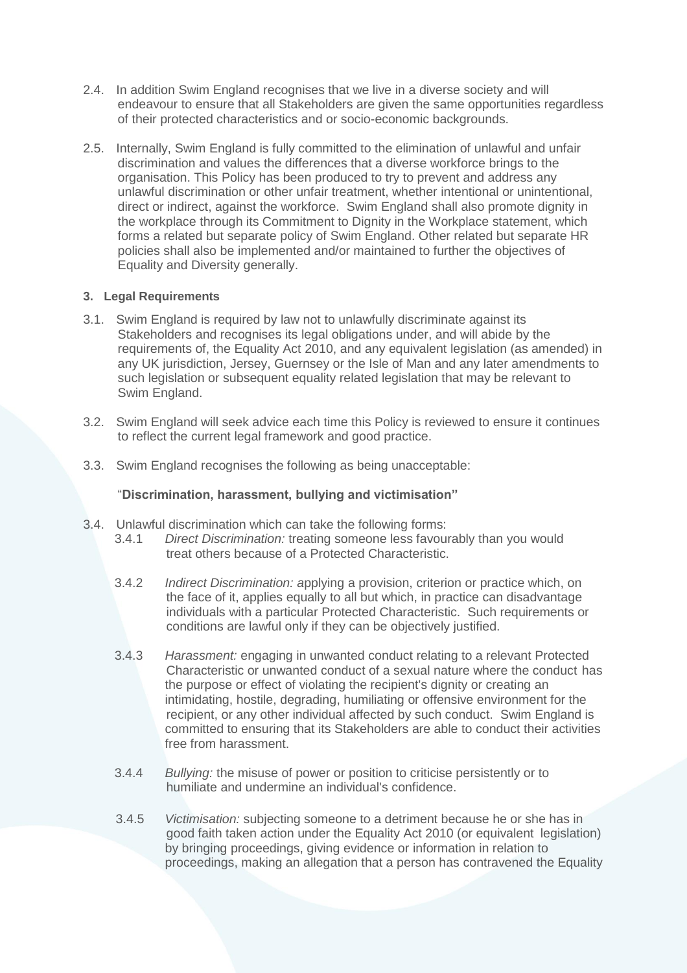- 2.4. In addition Swim England recognises that we live in a diverse society and will endeavour to ensure that all Stakeholders are given the same opportunities regardless of their protected characteristics and or socio-economic backgrounds.
- 2.5. Internally, Swim England is fully committed to the elimination of unlawful and unfair discrimination and values the differences that a diverse workforce brings to the organisation. This Policy has been produced to try to prevent and address any unlawful discrimination or other unfair treatment, whether intentional or unintentional, direct or indirect, against the workforce. Swim England shall also promote dignity in the workplace through its Commitment to Dignity in the Workplace statement, which forms a related but separate policy of Swim England. Other related but separate HR policies shall also be implemented and/or maintained to further the objectives of Equality and Diversity generally.

#### **3. Legal Requirements**

- 3.1. Swim England is required by law not to unlawfully discriminate against its Stakeholders and recognises its legal obligations under, and will abide by the requirements of, the Equality Act 2010, and any equivalent legislation (as amended) in any UK jurisdiction, Jersey, Guernsey or the Isle of Man and any later amendments to such legislation or subsequent equality related legislation that may be relevant to Swim England.
- 3.2. Swim England will seek advice each time this Policy is reviewed to ensure it continues to reflect the current legal framework and good practice.
- 3.3. Swim England recognises the following as being unacceptable:

#### "**Discrimination, harassment, bullying and victimisation"**

- 3.4. Unlawful discrimination which can take the following forms:
	- 3.4.1 *Direct Discrimination:* treating someone less favourably than you would treat others because of a Protected Characteristic.
		- 3.4.2 *Indirect Discrimination: a*pplying a provision, criterion or practice which, on the face of it, applies equally to all but which, in practice can disadvantage individuals with a particular Protected Characteristic. Such requirements or conditions are lawful only if they can be objectively justified.
		- 3.4.3 *Harassment:* engaging in unwanted conduct relating to a relevant Protected Characteristic or unwanted conduct of a sexual nature where the conduct has the purpose or effect of violating the recipient's dignity or creating an intimidating, hostile, degrading, humiliating or offensive environment for the recipient, or any other individual affected by such conduct. Swim England is committed to ensuring that its Stakeholders are able to conduct their activities free from harassment.
		- 3.4.4 *Bullying:* the misuse of power or position to criticise persistently or to humiliate and undermine an individual's confidence.
		- 3.4.5 *Victimisation:* subjecting someone to a detriment because he or she has in good faith taken action under the Equality Act 2010 (or equivalent legislation) by bringing proceedings, giving evidence or information in relation to proceedings, making an allegation that a person has contravened the Equality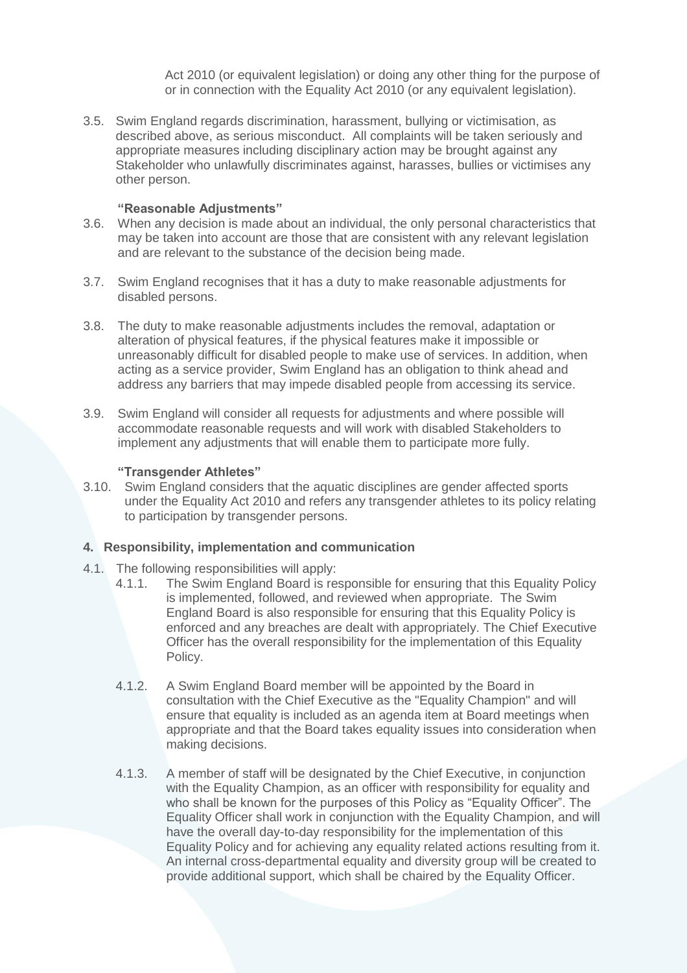Act 2010 (or equivalent legislation) or doing any other thing for the purpose of or in connection with the Equality Act 2010 (or any equivalent legislation).

3.5. Swim England regards discrimination, harassment, bullying or victimisation, as described above, as serious misconduct. All complaints will be taken seriously and appropriate measures including disciplinary action may be brought against any Stakeholder who unlawfully discriminates against, harasses, bullies or victimises any other person.

#### **"Reasonable Adjustments"**

- 3.6. When any decision is made about an individual, the only personal characteristics that may be taken into account are those that are consistent with any relevant legislation and are relevant to the substance of the decision being made.
- 3.7. Swim England recognises that it has a duty to make reasonable adjustments for disabled persons.
- 3.8. The duty to make reasonable adjustments includes the removal, adaptation or alteration of physical features, if the physical features make it impossible or unreasonably difficult for disabled people to make use of services. In addition, when acting as a service provider, Swim England has an obligation to think ahead and address any barriers that may impede disabled people from accessing its service.
- 3.9. Swim England will consider all requests for adjustments and where possible will accommodate reasonable requests and will work with disabled Stakeholders to implement any adjustments that will enable them to participate more fully.

#### **"Transgender Athletes"**

3.10. Swim England considers that the aquatic disciplines are gender affected sports under the Equality Act 2010 and refers any transgender athletes to its policy relating to participation by transgender persons.

#### **4. Responsibility, implementation and communication**

- 4.1. The following responsibilities will apply:
	- 4.1.1. The Swim England Board is responsible for ensuring that this Equality Policy is implemented, followed, and reviewed when appropriate. The Swim England Board is also responsible for ensuring that this Equality Policy is enforced and any breaches are dealt with appropriately. The Chief Executive Officer has the overall responsibility for the implementation of this Equality Policy.
	- 4.1.2. A Swim England Board member will be appointed by the Board in consultation with the Chief Executive as the "Equality Champion" and will ensure that equality is included as an agenda item at Board meetings when appropriate and that the Board takes equality issues into consideration when making decisions.
	- 4.1.3. A member of staff will be designated by the Chief Executive, in conjunction with the Equality Champion, as an officer with responsibility for equality and who shall be known for the purposes of this Policy as "Equality Officer". The Equality Officer shall work in conjunction with the Equality Champion, and will have the overall day-to-day responsibility for the implementation of this Equality Policy and for achieving any equality related actions resulting from it. An internal cross-departmental equality and diversity group will be created to provide additional support, which shall be chaired by the Equality Officer.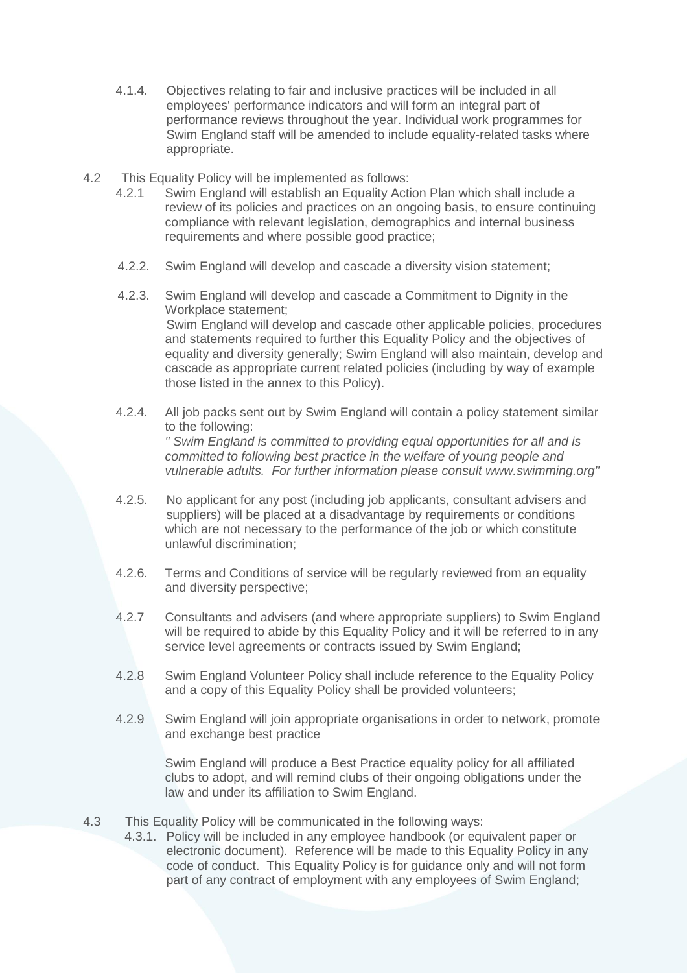- 4.1.4. Objectives relating to fair and inclusive practices will be included in all employees' performance indicators and will form an integral part of performance reviews throughout the year. Individual work programmes for Swim England staff will be amended to include equality-related tasks where appropriate.
- 4.2 This Equality Policy will be implemented as follows:
	- 4.2.1 Swim England will establish an Equality Action Plan which shall include a review of its policies and practices on an ongoing basis, to ensure continuing compliance with relevant legislation, demographics and internal business requirements and where possible good practice;
	- 4.2.2. Swim England will develop and cascade a diversity vision statement;
	- 4.2.3. Swim England will develop and cascade a Commitment to Dignity in the Workplace statement; Swim England will develop and cascade other applicable policies, procedures and statements required to further this Equality Policy and the objectives of equality and diversity generally; Swim England will also maintain, develop and cascade as appropriate current related policies (including by way of example those listed in the annex to this Policy).
	- 4.2.4. All job packs sent out by Swim England will contain a policy statement similar to the following: *" Swim England is committed to providing equal opportunities for all and is committed to following best practice in the welfare of young people and vulnerable adults. For further information please consult www.swimming.org"*
	- 4.2.5. No applicant for any post (including job applicants, consultant advisers and suppliers) will be placed at a disadvantage by requirements or conditions which are not necessary to the performance of the job or which constitute unlawful discrimination;
	- 4.2.6. Terms and Conditions of service will be regularly reviewed from an equality and diversity perspective;
	- 4.2.7 Consultants and advisers (and where appropriate suppliers) to Swim England will be required to abide by this Equality Policy and it will be referred to in any service level agreements or contracts issued by Swim England;
	- 4.2.8 Swim England Volunteer Policy shall include reference to the Equality Policy and a copy of this Equality Policy shall be provided volunteers;
	- 4.2.9 Swim England will join appropriate organisations in order to network, promote and exchange best practice

Swim England will produce a Best Practice equality policy for all affiliated clubs to adopt, and will remind clubs of their ongoing obligations under the law and under its affiliation to Swim England.

- 4.3 This Equality Policy will be communicated in the following ways:
	- 4.3.1. Policy will be included in any employee handbook (or equivalent paper or electronic document). Reference will be made to this Equality Policy in any code of conduct. This Equality Policy is for guidance only and will not form part of any contract of employment with any employees of Swim England;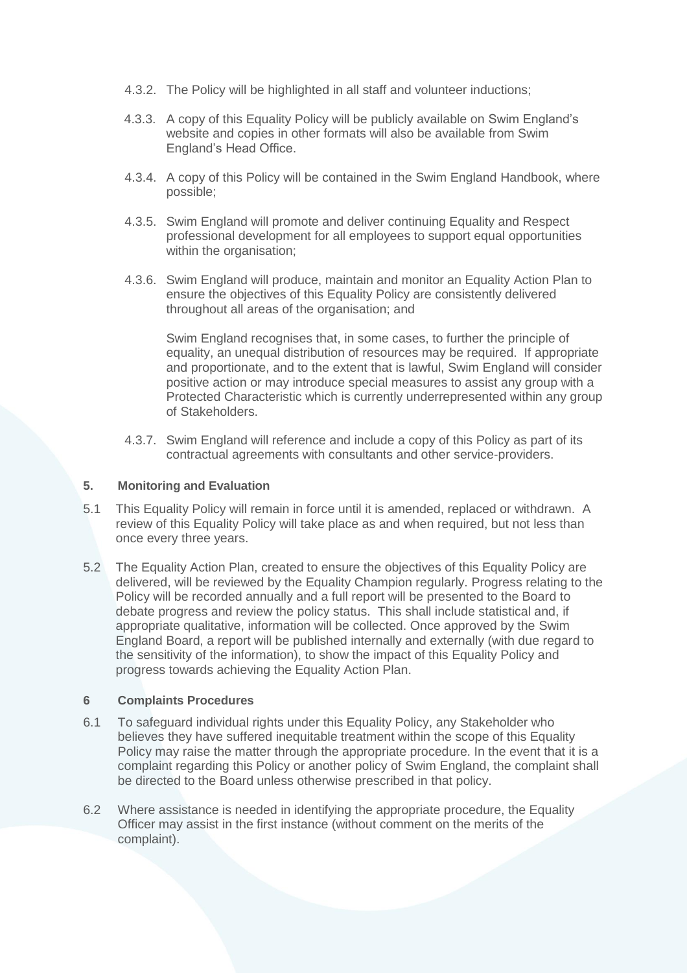- 4.3.2. The Policy will be highlighted in all staff and volunteer inductions;
- 4.3.3. A copy of this Equality Policy will be publicly available on Swim England's website and copies in other formats will also be available from Swim England's Head Office.
- 4.3.4. A copy of this Policy will be contained in the Swim England Handbook, where possible;
- 4.3.5. Swim England will promote and deliver continuing Equality and Respect professional development for all employees to support equal opportunities within the organisation;
- 4.3.6. Swim England will produce, maintain and monitor an Equality Action Plan to ensure the objectives of this Equality Policy are consistently delivered throughout all areas of the organisation; and

Swim England recognises that, in some cases, to further the principle of equality, an unequal distribution of resources may be required. If appropriate and proportionate, and to the extent that is lawful, Swim England will consider positive action or may introduce special measures to assist any group with a Protected Characteristic which is currently underrepresented within any group of Stakeholders.

4.3.7. Swim England will reference and include a copy of this Policy as part of its contractual agreements with consultants and other service-providers.

#### **5. Monitoring and Evaluation**

- 5.1 This Equality Policy will remain in force until it is amended, replaced or withdrawn. A review of this Equality Policy will take place as and when required, but not less than once every three years.
- 5.2 The Equality Action Plan, created to ensure the objectives of this Equality Policy are delivered, will be reviewed by the Equality Champion regularly. Progress relating to the Policy will be recorded annually and a full report will be presented to the Board to debate progress and review the policy status. This shall include statistical and, if appropriate qualitative, information will be collected. Once approved by the Swim England Board, a report will be published internally and externally (with due regard to the sensitivity of the information), to show the impact of this Equality Policy and progress towards achieving the Equality Action Plan.

#### **6 Complaints Procedures**

- 6.1 To safeguard individual rights under this Equality Policy, any Stakeholder who believes they have suffered inequitable treatment within the scope of this Equality Policy may raise the matter through the appropriate procedure. In the event that it is a complaint regarding this Policy or another policy of Swim England, the complaint shall be directed to the Board unless otherwise prescribed in that policy.
- 6.2 Where assistance is needed in identifying the appropriate procedure, the Equality Officer may assist in the first instance (without comment on the merits of the complaint).